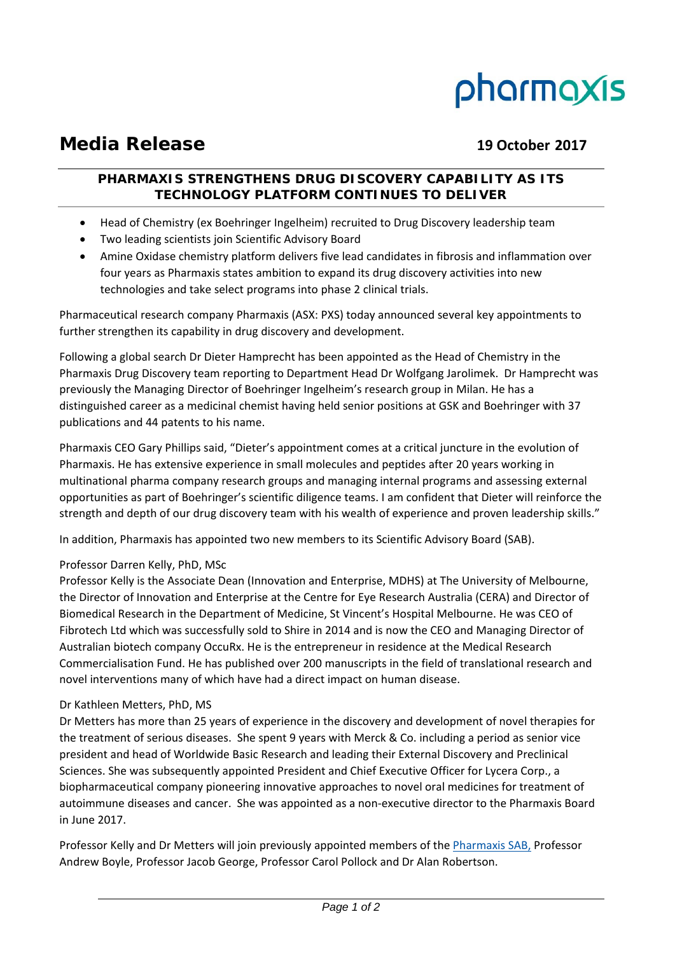# pharmaxis

## **Media Release 19 October 2017**

### **PHARMAXIS STRENGTHENS DRUG DISCOVERY CAPABILITY AS ITS TECHNOLOGY PLATFORM CONTINUES TO DELIVER**

- Head of Chemistry (ex Boehringer Ingelheim) recruited to Drug Discovery leadership team
- Two leading scientists join Scientific Advisory Board
- Amine Oxidase chemistry platform delivers five lead candidates in fibrosis and inflammation over four years as Pharmaxis states ambition to expand its drug discovery activities into new technologies and take select programs into phase 2 clinical trials.

Pharmaceutical research company Pharmaxis (ASX: PXS) today announced several key appointments to further strengthen its capability in drug discovery and development.

Following a global search Dr Dieter Hamprecht has been appointed as the Head of Chemistry in the Pharmaxis Drug Discovery team reporting to Department Head Dr Wolfgang Jarolimek. Dr Hamprecht was previously the Managing Director of Boehringer Ingelheim's research group in Milan. He has a distinguished career as a medicinal chemist having held senior positions at GSK and Boehringer with 37 publications and 44 patents to his name.

Pharmaxis CEO Gary Phillips said, "Dieter's appointment comes at a critical juncture in the evolution of Pharmaxis. He has extensive experience in small molecules and peptides after 20 years working in multinational pharma company research groups and managing internal programs and assessing external opportunities as part of Boehringer's scientific diligence teams. I am confident that Dieter will reinforce the strength and depth of our drug discovery team with his wealth of experience and proven leadership skills."

In addition, Pharmaxis has appointed two new members to its Scientific Advisory Board (SAB).

#### Professor Darren Kelly, PhD, MSc

Professor Kelly is the Associate Dean (Innovation and Enterprise, MDHS) at The University of Melbourne, the Director of Innovation and Enterprise at the Centre for Eye Research Australia (CERA) and Director of Biomedical Research in the Department of Medicine, St Vincent's Hospital Melbourne. He was CEO of Fibrotech Ltd which was successfully sold to Shire in 2014 and is now the CEO and Managing Director of Australian biotech company OccuRx. He is the entrepreneur in residence at the Medical Research Commercialisation Fund. He has published over 200 manuscripts in the field of translational research and novel interventions many of which have had a direct impact on human disease.

#### Dr Kathleen Metters, PhD, MS

Dr Metters has more than 25 years of experience in the discovery and development of novel therapies for the treatment of serious diseases. She spent 9 years with Merck & Co. including a period as senior vice president and head of Worldwide Basic Research and leading their External Discovery and Preclinical Sciences. She was subsequently appointed President and Chief Executive Officer for Lycera Corp., a biopharmaceutical company pioneering innovative approaches to novel oral medicines for treatment of autoimmune diseases and cancer. She was appointed as a non‐executive director to the Pharmaxis Board in June 2017.

Professor Kelly and Dr Metters will join previously appointed members of the Pharmaxis SAB, Professor Andrew Boyle, Professor Jacob George, Professor Carol Pollock and Dr Alan Robertson.